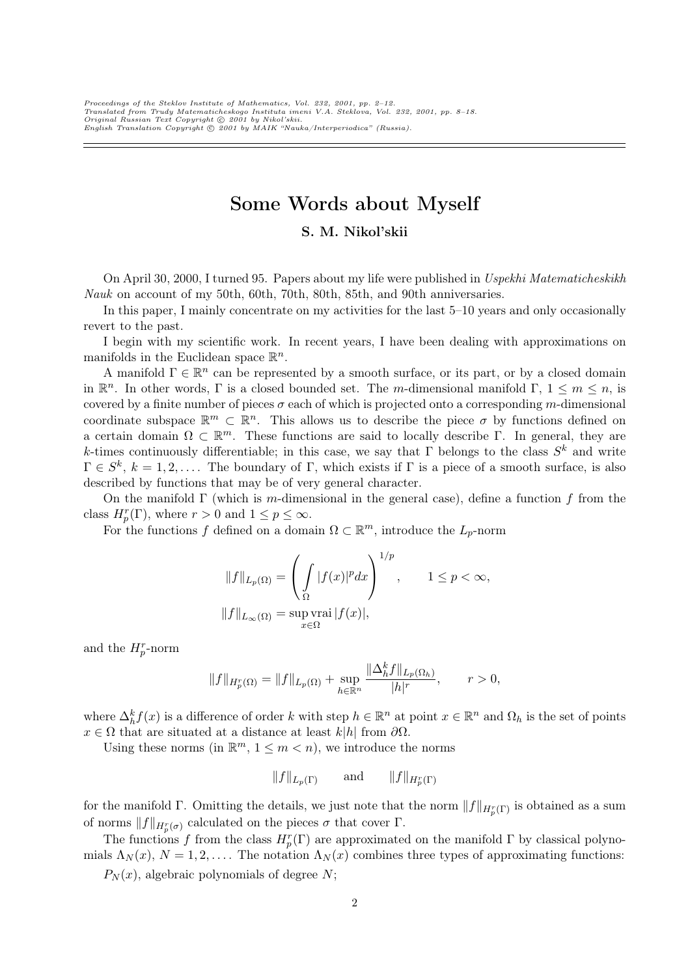# Some Words about Myself

## S. M. Nikol'skii

On April 30, 2000, I turned 95. Papers about my life were published in Uspekhi Matematicheskikh Nauk on account of my 50th, 60th, 70th, 80th, 85th, and 90th anniversaries.

In this paper, I mainly concentrate on my activities for the last 5–10 years and only occasionally revert to the past.

I begin with my scientific work. In recent years, I have been dealing with approximations on manifolds in the Euclidean space  $\mathbb{R}^n$ .

A manifold  $\Gamma \in \mathbb{R}^n$  can be represented by a smooth surface, or its part, or by a closed domain in  $\mathbb{R}^n$ . In other words,  $\Gamma$  is a closed bounded set. The m-dimensional manifold  $\Gamma$ ,  $1 \leq m \leq n$ , is covered by a finite number of pieces  $\sigma$  each of which is projected onto a corresponding m-dimensional coordinate subspace  $\mathbb{R}^m \subset \mathbb{R}^n$ . This allows us to describe the piece  $\sigma$  by functions defined on a certain domain  $\Omega \subset \mathbb{R}^m$ . These functions are said to locally describe Γ. In general, they are k-times continuously differentiable; in this case, we say that  $\Gamma$  belongs to the class  $S^k$  and write  $\Gamma \in S^k$ ,  $k = 1, 2, \ldots$  The boundary of  $\Gamma$ , which exists if  $\Gamma$  is a piece of a smooth surface, is also described by functions that may be of very general character.

On the manifold  $\Gamma$  (which is m-dimensional in the general case), define a function f from the class  $H_p^r(\Gamma)$ , where  $r > 0$  and  $1 \le p \le \infty$ .

For the functions f defined on a domain  $\Omega \subset \mathbb{R}^m$ , introduce the  $L_p$ -norm

$$
||f||_{L_p(\Omega)} = \left(\int_{\Omega} |f(x)|^p dx\right)^{1/p}, \qquad 1 \le p < \infty,
$$
  

$$
||f||_{L_{\infty}(\Omega)} = \sup_{x \in \Omega} \text{vrai } |f(x)|,
$$

and the  $H_p^r$ -norm

$$
||f||_{H_p^r(\Omega)} = ||f||_{L_p(\Omega)} + \sup_{h \in \mathbb{R}^n} \frac{||\Delta_h^k f||_{L_p(\Omega_h)}}{|h|^r}, \qquad r > 0,
$$

where  $\Delta_h^k f(x)$  is a difference of order k with step  $h \in \mathbb{R}^n$  at point  $x \in \mathbb{R}^n$  and  $\Omega_h$  is the set of points  $x \in \Omega$  that are situated at a distance at least k|h| from  $\partial\Omega$ .

Using these norms (in  $\mathbb{R}^m$ ,  $1 \leq m < n$ ), we introduce the norms

$$
||f||_{L_p(\Gamma)} \qquad \text{and} \qquad ||f||_{H_p^r(\Gamma)}
$$

for the manifold  $\Gamma$ . Omitting the details, we just note that the norm  $||f||_{H_p^r(\Gamma)}$  is obtained as a sum of norms  $||f||_{H_p^r(\sigma)}$  calculated on the pieces  $\sigma$  that cover  $\Gamma$ .

The functions f from the class  $H_p^r(\Gamma)$  are approximated on the manifold  $\Gamma$  by classical polynomials  $\Lambda_N(x)$ ,  $N = 1, 2, \ldots$ . The notation  $\Lambda_N(x)$  combines three types of approximating functions:

 $P_N(x)$ , algebraic polynomials of degree N;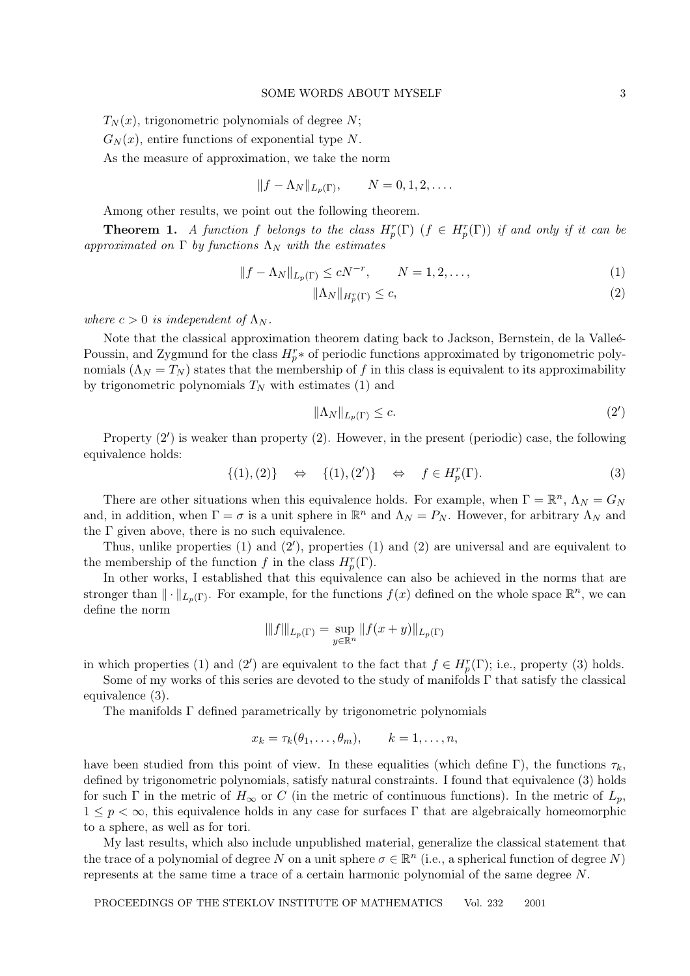$T_N(x)$ , trigonometric polynomials of degree N;

 $G<sub>N</sub>(x)$ , entire functions of exponential type N.

As the measure of approximation, we take the norm

$$
||f - \Lambda_N||_{L_p(\Gamma)}, \qquad N = 0, 1, 2, \dots
$$

Among other results, we point out the following theorem.

**Theorem 1.** A function f belongs to the class  $H_p^r(\Gamma)$  ( $f \in H_p^r(\Gamma)$ ) if and only if it can be approximated on  $\Gamma$  by functions  $\Lambda_N$  with the estimates

$$
||f - \Lambda_N||_{L_p(\Gamma)} \le cN^{-r}, \qquad N = 1, 2, \dots,
$$
\n<sup>(1)</sup>

$$
\|\Lambda_N\|_{H_p^r(\Gamma)} \le c,\tag{2}
$$

where  $c > 0$  is independent of  $\Lambda_N$ .

Note that the classical approximation theorem dating back to Jackson, Bernstein, de la Valleé-Poussin, and Zygmund for the class  $H_p^r *$  of periodic functions approximated by trigonometric polynomials  $(\Lambda_N = T_N)$  states that the membership of f in this class is equivalent to its approximability by trigonometric polynomials  $T_N$  with estimates (1) and

$$
\|\Lambda_N\|_{L_p(\Gamma)} \le c. \tag{2'}
$$

Property  $(2')$  is weaker than property  $(2)$ . However, in the present (periodic) case, the following equivalence holds:

$$
\{(1), (2)\} \quad \Leftrightarrow \quad \{(1), (2')\} \quad \Leftrightarrow \quad f \in H_p^r(\Gamma). \tag{3}
$$

There are other situations when this equivalence holds. For example, when  $\Gamma = \mathbb{R}^n$ ,  $\Lambda_N = G_N$ and, in addition, when  $\Gamma = \sigma$  is a unit sphere in  $\mathbb{R}^n$  and  $\Lambda_N = P_N$ . However, for arbitrary  $\Lambda_N$  and the  $\Gamma$  given above, there is no such equivalence.

Thus, unlike properties  $(1)$  and  $(2')$ , properties  $(1)$  and  $(2)$  are universal and are equivalent to the membership of the function f in the class  $H_p^r(\Gamma)$ .

In other works, I established that this equivalence can also be achieved in the norms that are stronger than  $\|\cdot\|_{L_p(\Gamma)}$ . For example, for the functions  $f(x)$  defined on the whole space  $\mathbb{R}^n$ , we can define the norm

$$
|||f|||_{L_p(\Gamma)} = \sup_{y \in \mathbb{R}^n} ||f(x+y)||_{L_p(\Gamma)}
$$

in which properties (1) and (2') are equivalent to the fact that  $f \in H_p^r(\Gamma)$ ; i.e., property (3) holds.

Some of my works of this series are devoted to the study of manifolds  $\Gamma$  that satisfy the classical equivalence (3).

The manifolds Γ defined parametrically by trigonometric polynomials

$$
x_k = \tau_k(\theta_1, \ldots, \theta_m), \qquad k = 1, \ldots, n,
$$

have been studied from this point of view. In these equalities (which define Γ), the functions  $\tau_k$ , defined by trigonometric polynomials, satisfy natural constraints. I found that equivalence (3) holds for such Γ in the metric of  $H_{\infty}$  or C (in the metric of continuous functions). In the metric of  $L_p$ ,  $1 \leq p < \infty$ , this equivalence holds in any case for surfaces Γ that are algebraically homeomorphic to a sphere, as well as for tori.

My last results, which also include unpublished material, generalize the classical statement that the trace of a polynomial of degree N on a unit sphere  $\sigma \in \mathbb{R}^n$  (i.e., a spherical function of degree N) represents at the same time a trace of a certain harmonic polynomial of the same degree N.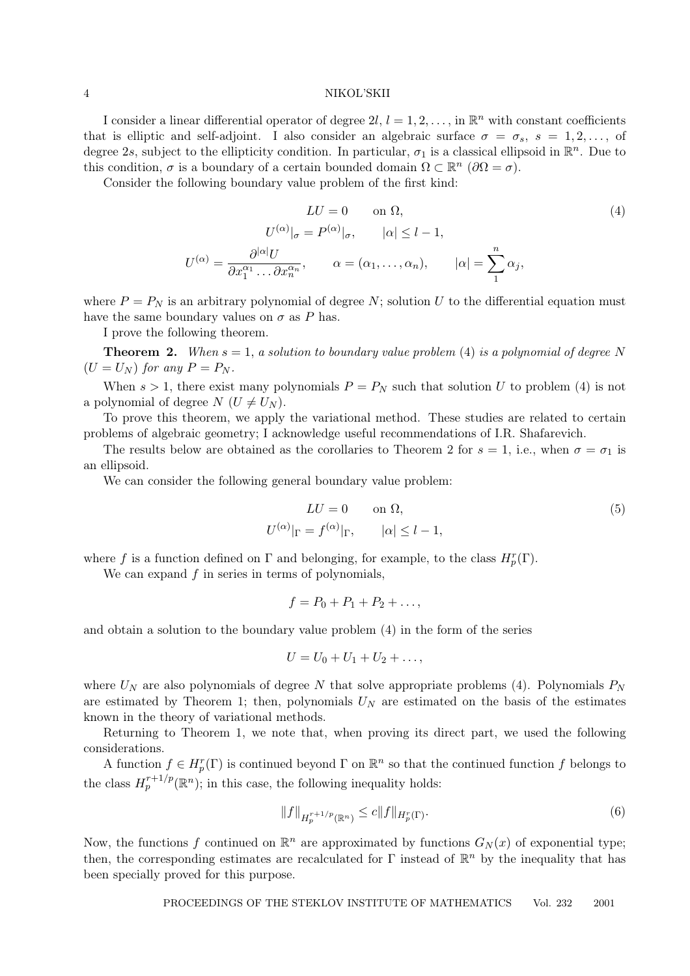I consider a linear differential operator of degree  $2l, l = 1, 2, \ldots$ , in  $\mathbb{R}^n$  with constant coefficients that is elliptic and self-adjoint. I also consider an algebraic surface  $\sigma = \sigma_s$ ,  $s = 1, 2, \ldots$ , of degree 2s, subject to the ellipticity condition. In particular,  $\sigma_1$  is a classical ellipsoid in  $\mathbb{R}^n$ . Due to this condition,  $\sigma$  is a boundary of a certain bounded domain  $\Omega \subset \mathbb{R}^n$  ( $\partial \Omega = \sigma$ ).

Consider the following boundary value problem of the first kind:

$$
LU = 0 \quad \text{on } \Omega,
$$
\n
$$
U^{(\alpha)}|_{\sigma} = P^{(\alpha)}|_{\sigma}, \qquad |\alpha| \le l - 1,
$$
\n
$$
U^{(\alpha)} = \frac{\partial^{|\alpha|}U}{\partial x_1^{\alpha_1} \dots \partial x_n^{\alpha_n}}, \qquad \alpha = (\alpha_1, \dots, \alpha_n), \qquad |\alpha| = \sum_{1}^{n} \alpha_j,
$$
\n
$$
(4)
$$

where  $P = P_N$  is an arbitrary polynomial of degree N; solution U to the differential equation must have the same boundary values on  $\sigma$  as P has.

I prove the following theorem.

**Theorem 2.** When  $s = 1$ , a solution to boundary value problem (4) is a polynomial of degree N  $(U = U_N)$  for any  $P = P_N$ .

When  $s > 1$ , there exist many polynomials  $P = P_N$  such that solution U to problem (4) is not a polynomial of degree  $N$  ( $U \neq U_N$ ).

To prove this theorem, we apply the variational method. These studies are related to certain problems of algebraic geometry; I acknowledge useful recommendations of I.R. Shafarevich.

The results below are obtained as the corollaries to Theorem 2 for  $s = 1$ , i.e., when  $\sigma = \sigma_1$  is an ellipsoid.

We can consider the following general boundary value problem:

$$
LU = 0 \qquad \text{on } \Omega,
$$
  

$$
U^{(\alpha)}|_{\Gamma} = f^{(\alpha)}|_{\Gamma}, \qquad |\alpha| \le l - 1,
$$
 (5)

where f is a function defined on  $\Gamma$  and belonging, for example, to the class  $H_p^r(\Gamma)$ .

We can expand  $f$  in series in terms of polynomials,

$$
f = P_0 + P_1 + P_2 + \ldots,
$$

and obtain a solution to the boundary value problem (4) in the form of the series

$$
U=U_0+U_1+U_2+\ldots,
$$

where  $U_N$  are also polynomials of degree N that solve appropriate problems (4). Polynomials  $P_N$ are estimated by Theorem 1; then, polynomials  $U_N$  are estimated on the basis of the estimates known in the theory of variational methods.

Returning to Theorem 1, we note that, when proving its direct part, we used the following considerations.

A function  $f \in H_p^r(\Gamma)$  is continued beyond  $\Gamma$  on  $\mathbb{R}^n$  so that the continued function f belongs to the class  $H_p^{r+1/p}(\mathbb{R}^n)$ ; in this case, the following inequality holds:

$$
||f||_{H_p^{r+1/p}(\mathbb{R}^n)} \le c||f||_{H_p^r(\Gamma)}.
$$
\n(6)

Now, the functions f continued on  $\mathbb{R}^n$  are approximated by functions  $G_N(x)$  of exponential type; then, the corresponding estimates are recalculated for  $\Gamma$  instead of  $\mathbb{R}^n$  by the inequality that has been specially proved for this purpose.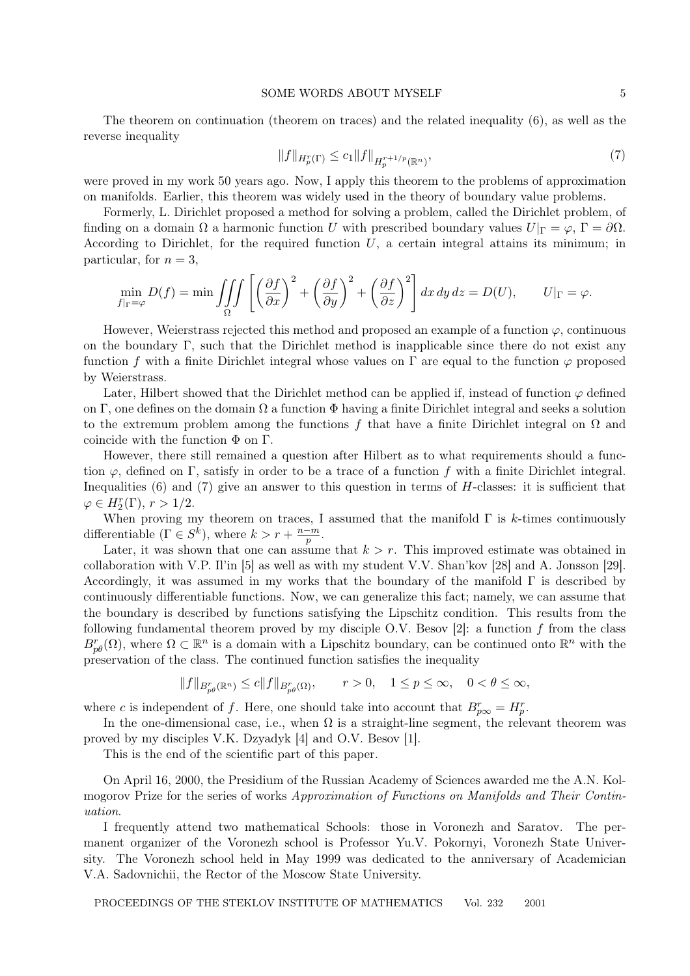#### SOME WORDS ABOUT MYSELF 5

The theorem on continuation (theorem on traces) and the related inequality (6), as well as the reverse inequality

$$
||f||_{H_p^r(\Gamma)} \le c_1 ||f||_{H_p^{r+1/p}(\mathbb{R}^n)},\tag{7}
$$

were proved in my work 50 years ago. Now, I apply this theorem to the problems of approximation on manifolds. Earlier, this theorem was widely used in the theory of boundary value problems.

Formerly, L. Dirichlet proposed a method for solving a problem, called the Dirichlet problem, of finding on a domain  $\Omega$  a harmonic function U with prescribed boundary values  $U|_{\Gamma} = \varphi$ ,  $\Gamma = \partial \Omega$ . According to Dirichlet, for the required function  $U$ , a certain integral attains its minimum; in particular, for  $n = 3$ ,

$$
\min_{f|_{\Gamma}=\varphi} D(f) = \min \iiint_{\Omega} \left[ \left( \frac{\partial f}{\partial x} \right)^2 + \left( \frac{\partial f}{\partial y} \right)^2 + \left( \frac{\partial f}{\partial z} \right)^2 \right] dx \, dy \, dz = D(U), \qquad U|_{\Gamma}=\varphi.
$$

However, Weierstrass rejected this method and proposed an example of a function  $\varphi$ , continuous on the boundary Γ, such that the Dirichlet method is inapplicable since there do not exist any function f with a finite Dirichlet integral whose values on  $\Gamma$  are equal to the function  $\varphi$  proposed by Weierstrass.

Later, Hilbert showed that the Dirichlet method can be applied if, instead of function  $\varphi$  defined on Γ, one defines on the domain  $\Omega$  a function  $\Phi$  having a finite Dirichlet integral and seeks a solution to the extremum problem among the functions f that have a finite Dirichlet integral on  $\Omega$  and coincide with the function  $\Phi$  on  $\Gamma$ .

However, there still remained a question after Hilbert as to what requirements should a function  $\varphi$ , defined on Γ, satisfy in order to be a trace of a function f with a finite Dirichlet integral. Inequalities (6) and (7) give an answer to this question in terms of H-classes: it is sufficient that  $\varphi \in H_2^r(\Gamma), r > 1/2.$ 

When proving my theorem on traces, I assumed that the manifold  $\Gamma$  is k-times continuously differentiable  $(\Gamma \in S^k)$ , where  $k > r + \frac{n-m}{n}$  $\frac{-m}{p}$  .

Later, it was shown that one can assume that  $k > r$ . This improved estimate was obtained in collaboration with V.P. Il'in [5] as well as with my student V.V. Shan'kov [28] and A. Jonsson [29]. Accordingly, it was assumed in my works that the boundary of the manifold  $\Gamma$  is described by continuously differentiable functions. Now, we can generalize this fact; namely, we can assume that the boundary is described by functions satisfying the Lipschitz condition. This results from the following fundamental theorem proved by my disciple O.V. Besov [2]: a function  $f$  from the class  $B_{p\theta}^r(\Omega)$ , where  $\Omega \subset \mathbb{R}^n$  is a domain with a Lipschitz boundary, can be continued onto  $\mathbb{R}^n$  with the preservation of the class. The continued function satisfies the inequality

$$
||f||_{B_{p\theta}^r(\mathbb{R}^n)} \le c||f||_{B_{p\theta}^r(\Omega)}, \qquad r > 0, \quad 1 \le p \le \infty, \quad 0 < \theta \le \infty,
$$

where c is independent of f. Here, one should take into account that  $B_{p\infty}^r = H_p^r$ .

In the one-dimensional case, i.e., when  $\Omega$  is a straight-line segment, the relevant theorem was proved by my disciples V.K. Dzyadyk [4] and O.V. Besov [1].

This is the end of the scientific part of this paper.

On April 16, 2000, the Presidium of the Russian Academy of Sciences awarded me the A.N. Kolmogorov Prize for the series of works Approximation of Functions on Manifolds and Their Continuation.

I frequently attend two mathematical Schools: those in Voronezh and Saratov. The permanent organizer of the Voronezh school is Professor Yu.V. Pokornyi, Voronezh State University. The Voronezh school held in May 1999 was dedicated to the anniversary of Academician V.A. Sadovnichii, the Rector of the Moscow State University.

PROCEEDINGS OF THE STEKLOV INSTITUTE OF MATHEMATICS Vol. 232 2001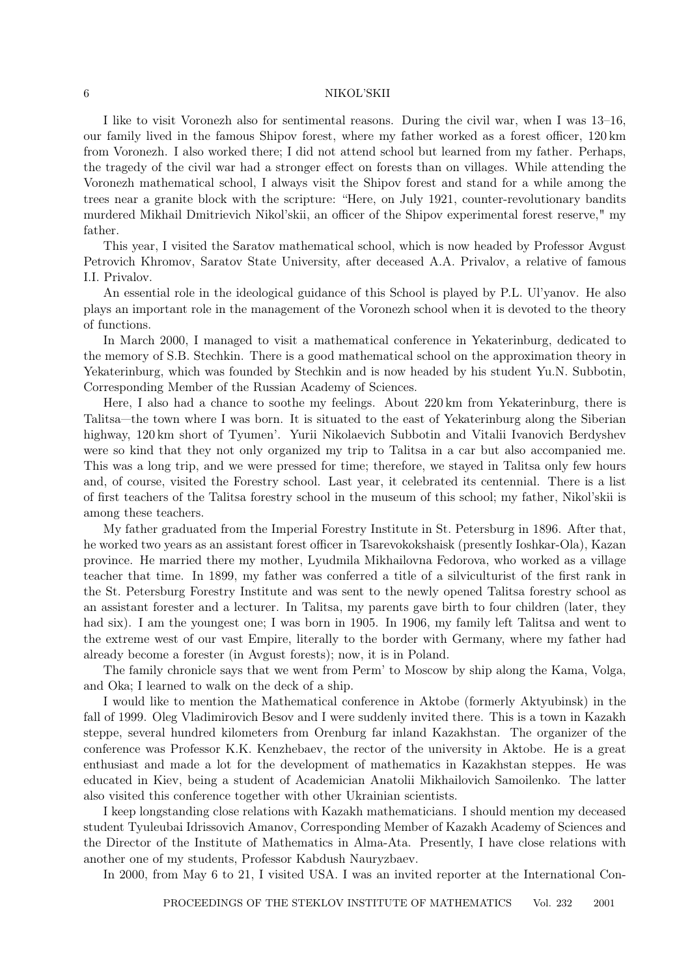I like to visit Voronezh also for sentimental reasons. During the civil war, when I was 13–16, our family lived in the famous Shipov forest, where my father worked as a forest officer, 120 km from Voronezh. I also worked there; I did not attend school but learned from my father. Perhaps, the tragedy of the civil war had a stronger effect on forests than on villages. While attending the Voronezh mathematical school, I always visit the Shipov forest and stand for a while among the trees near a granite block with the scripture: "Here, on July 1921, counter-revolutionary bandits murdered Mikhail Dmitrievich Nikol'skii, an officer of the Shipov experimental forest reserve," my father.

This year, I visited the Saratov mathematical school, which is now headed by Professor Avgust Petrovich Khromov, Saratov State University, after deceased A.A. Privalov, a relative of famous I.I. Privalov.

An essential role in the ideological guidance of this School is played by P.L. Ul'yanov. He also plays an important role in the management of the Voronezh school when it is devoted to the theory of functions.

In March 2000, I managed to visit a mathematical conference in Yekaterinburg, dedicated to the memory of S.B. Stechkin. There is a good mathematical school on the approximation theory in Yekaterinburg, which was founded by Stechkin and is now headed by his student Yu.N. Subbotin, Corresponding Member of the Russian Academy of Sciences.

Here, I also had a chance to soothe my feelings. About 220 km from Yekaterinburg, there is Talitsa—the town where I was born. It is situated to the east of Yekaterinburg along the Siberian highway, 120 km short of Tyumen'. Yurii Nikolaevich Subbotin and Vitalii Ivanovich Berdyshev were so kind that they not only organized my trip to Talitsa in a car but also accompanied me. This was a long trip, and we were pressed for time; therefore, we stayed in Talitsa only few hours and, of course, visited the Forestry school. Last year, it celebrated its centennial. There is a list of first teachers of the Talitsa forestry school in the museum of this school; my father, Nikol'skii is among these teachers.

My father graduated from the Imperial Forestry Institute in St. Petersburg in 1896. After that, he worked two years as an assistant forest officer in Tsarevokokshaisk (presently Ioshkar-Ola), Kazan province. He married there my mother, Lyudmila Mikhailovna Fedorova, who worked as a village teacher that time. In 1899, my father was conferred a title of a silviculturist of the first rank in the St. Petersburg Forestry Institute and was sent to the newly opened Talitsa forestry school as an assistant forester and a lecturer. In Talitsa, my parents gave birth to four children (later, they had six). I am the youngest one; I was born in 1905. In 1906, my family left Talitsa and went to the extreme west of our vast Empire, literally to the border with Germany, where my father had already become a forester (in Avgust forests); now, it is in Poland.

The family chronicle says that we went from Perm' to Moscow by ship along the Kama, Volga, and Oka; I learned to walk on the deck of a ship.

I would like to mention the Mathematical conference in Aktobe (formerly Aktyubinsk) in the fall of 1999. Oleg Vladimirovich Besov and I were suddenly invited there. This is a town in Kazakh steppe, several hundred kilometers from Orenburg far inland Kazakhstan. The organizer of the conference was Professor K.K. Kenzhebaev, the rector of the university in Aktobe. He is a great enthusiast and made a lot for the development of mathematics in Kazakhstan steppes. He was educated in Kiev, being a student of Academician Anatolii Mikhailovich Samoilenko. The latter also visited this conference together with other Ukrainian scientists.

I keep longstanding close relations with Kazakh mathematicians. I should mention my deceased student Tyuleubai Idrissovich Amanov, Corresponding Member of Kazakh Academy of Sciences and the Director of the Institute of Mathematics in Alma-Ata. Presently, I have close relations with another one of my students, Professor Kabdush Nauryzbaev.

In 2000, from May 6 to 21, I visited USA. I was an invited reporter at the International Con-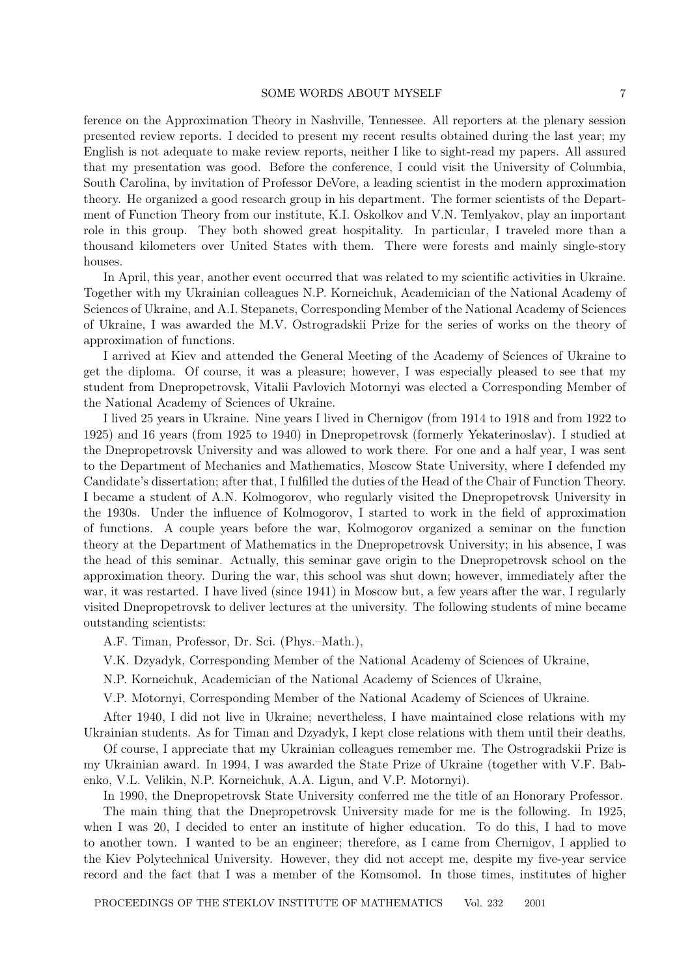#### SOME WORDS ABOUT MYSELF 7

ference on the Approximation Theory in Nashville, Tennessee. All reporters at the plenary session presented review reports. I decided to present my recent results obtained during the last year; my English is not adequate to make review reports, neither I like to sight-read my papers. All assured that my presentation was good. Before the conference, I could visit the University of Columbia, South Carolina, by invitation of Professor DeVore, a leading scientist in the modern approximation theory. He organized a good research group in his department. The former scientists of the Department of Function Theory from our institute, K.I. Oskolkov and V.N. Temlyakov, play an important role in this group. They both showed great hospitality. In particular, I traveled more than a thousand kilometers over United States with them. There were forests and mainly single-story houses.

In April, this year, another event occurred that was related to my scientific activities in Ukraine. Together with my Ukrainian colleagues N.P. Korneichuk, Academician of the National Academy of Sciences of Ukraine, and A.I. Stepanets, Corresponding Member of the National Academy of Sciences of Ukraine, I was awarded the M.V. Ostrogradskii Prize for the series of works on the theory of approximation of functions.

I arrived at Kiev and attended the General Meeting of the Academy of Sciences of Ukraine to get the diploma. Of course, it was a pleasure; however, I was especially pleased to see that my student from Dnepropetrovsk, Vitalii Pavlovich Motornyi was elected a Corresponding Member of the National Academy of Sciences of Ukraine.

I lived 25 years in Ukraine. Nine years I lived in Chernigov (from 1914 to 1918 and from 1922 to 1925) and 16 years (from 1925 to 1940) in Dnepropetrovsk (formerly Yekaterinoslav). I studied at the Dnepropetrovsk University and was allowed to work there. For one and a half year, I was sent to the Department of Mechanics and Mathematics, Moscow State University, where I defended my Candidate's dissertation; after that, I fulfilled the duties of the Head of the Chair of Function Theory. I became a student of A.N. Kolmogorov, who regularly visited the Dnepropetrovsk University in the 1930s. Under the influence of Kolmogorov, I started to work in the field of approximation of functions. A couple years before the war, Kolmogorov organized a seminar on the function theory at the Department of Mathematics in the Dnepropetrovsk University; in his absence, I was the head of this seminar. Actually, this seminar gave origin to the Dnepropetrovsk school on the approximation theory. During the war, this school was shut down; however, immediately after the war, it was restarted. I have lived (since 1941) in Moscow but, a few years after the war, I regularly visited Dnepropetrovsk to deliver lectures at the university. The following students of mine became outstanding scientists:

A.F. Timan, Professor, Dr. Sci. (Phys.–Math.),

V.K. Dzyadyk, Corresponding Member of the National Academy of Sciences of Ukraine,

N.P. Korneichuk, Academician of the National Academy of Sciences of Ukraine,

V.P. Motornyi, Corresponding Member of the National Academy of Sciences of Ukraine.

After 1940, I did not live in Ukraine; nevertheless, I have maintained close relations with my Ukrainian students. As for Timan and Dzyadyk, I kept close relations with them until their deaths.

Of course, I appreciate that my Ukrainian colleagues remember me. The Ostrogradskii Prize is my Ukrainian award. In 1994, I was awarded the State Prize of Ukraine (together with V.F. Babenko, V.L. Velikin, N.P. Korneichuk, A.A. Ligun, and V.P. Motornyi).

In 1990, the Dnepropetrovsk State University conferred me the title of an Honorary Professor.

The main thing that the Dnepropetrovsk University made for me is the following. In 1925, when I was 20, I decided to enter an institute of higher education. To do this, I had to move to another town. I wanted to be an engineer; therefore, as I came from Chernigov, I applied to the Kiev Polytechnical University. However, they did not accept me, despite my five-year service record and the fact that I was a member of the Komsomol. In those times, institutes of higher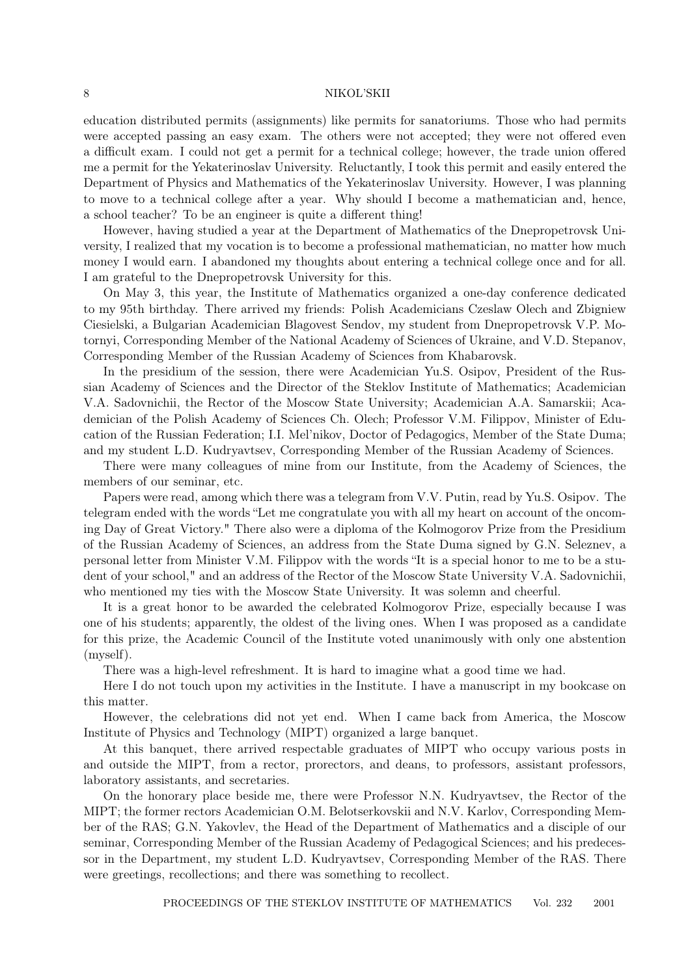education distributed permits (assignments) like permits for sanatoriums. Those who had permits were accepted passing an easy exam. The others were not accepted; they were not offered even a difficult exam. I could not get a permit for a technical college; however, the trade union offered me a permit for the Yekaterinoslav University. Reluctantly, I took this permit and easily entered the Department of Physics and Mathematics of the Yekaterinoslav University. However, I was planning to move to a technical college after a year. Why should I become a mathematician and, hence, a school teacher? To be an engineer is quite a different thing!

However, having studied a year at the Department of Mathematics of the Dnepropetrovsk University, I realized that my vocation is to become a professional mathematician, no matter how much money I would earn. I abandoned my thoughts about entering a technical college once and for all. I am grateful to the Dnepropetrovsk University for this.

On May 3, this year, the Institute of Mathematics organized a one-day conference dedicated to my 95th birthday. There arrived my friends: Polish Academicians Czeslaw Olech and Zbigniew Ciesielski, a Bulgarian Academician Blagovest Sendov, my student from Dnepropetrovsk V.P. Motornyi, Corresponding Member of the National Academy of Sciences of Ukraine, and V.D. Stepanov, Corresponding Member of the Russian Academy of Sciences from Khabarovsk.

In the presidium of the session, there were Academician Yu.S. Osipov, President of the Russian Academy of Sciences and the Director of the Steklov Institute of Mathematics; Academician V.A. Sadovnichii, the Rector of the Moscow State University; Academician A.A. Samarskii; Academician of the Polish Academy of Sciences Ch. Olech; Professor V.M. Filippov, Minister of Education of the Russian Federation; I.I. Mel'nikov, Doctor of Pedagogics, Member of the State Duma; and my student L.D. Kudryavtsev, Corresponding Member of the Russian Academy of Sciences.

There were many colleagues of mine from our Institute, from the Academy of Sciences, the members of our seminar, etc.

Papers were read, among which there was a telegram from V.V. Putin, read by Yu.S. Osipov. The telegram ended with the words "Let me congratulate you with all my heart on account of the oncoming Day of Great Victory." There also were a diploma of the Kolmogorov Prize from the Presidium of the Russian Academy of Sciences, an address from the State Duma signed by G.N. Seleznev, a personal letter from Minister V.M. Filippov with the words "It is a special honor to me to be a student of your school," and an address of the Rector of the Moscow State University V.A. Sadovnichii, who mentioned my ties with the Moscow State University. It was solemn and cheerful.

It is a great honor to be awarded the celebrated Kolmogorov Prize, especially because I was one of his students; apparently, the oldest of the living ones. When I was proposed as a candidate for this prize, the Academic Council of the Institute voted unanimously with only one abstention (myself).

There was a high-level refreshment. It is hard to imagine what a good time we had.

Here I do not touch upon my activities in the Institute. I have a manuscript in my bookcase on this matter.

However, the celebrations did not yet end. When I came back from America, the Moscow Institute of Physics and Technology (MIPT) organized a large banquet.

At this banquet, there arrived respectable graduates of MIPT who occupy various posts in and outside the MIPT, from a rector, prorectors, and deans, to professors, assistant professors, laboratory assistants, and secretaries.

On the honorary place beside me, there were Professor N.N. Kudryavtsev, the Rector of the MIPT; the former rectors Academician O.M. Belotserkovskii and N.V. Karlov, Corresponding Member of the RAS; G.N. Yakovlev, the Head of the Department of Mathematics and a disciple of our seminar, Corresponding Member of the Russian Academy of Pedagogical Sciences; and his predecessor in the Department, my student L.D. Kudryavtsev, Corresponding Member of the RAS. There were greetings, recollections; and there was something to recollect.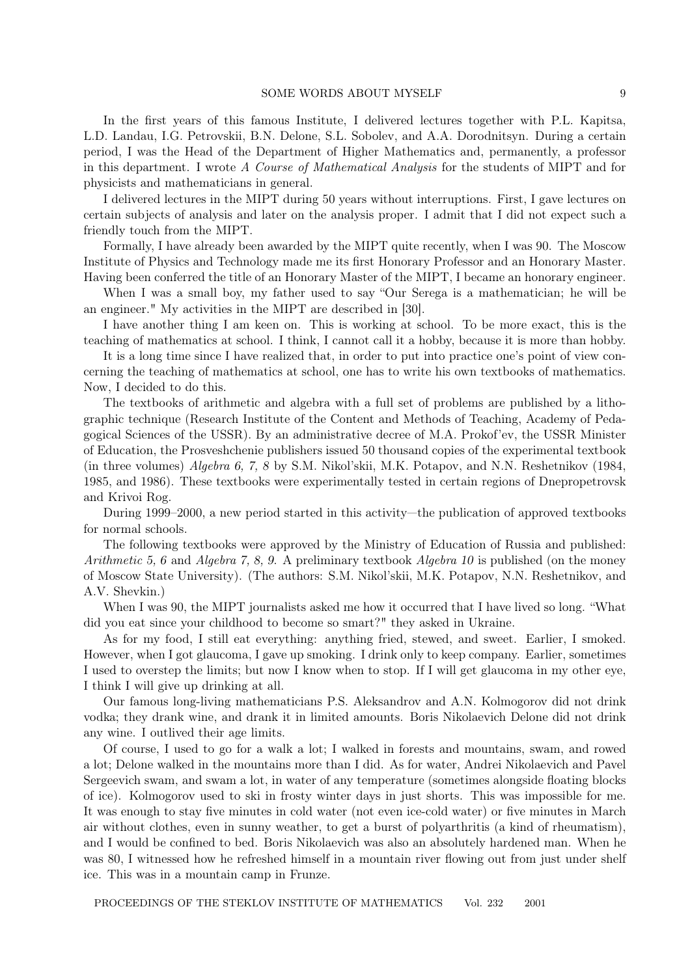#### SOME WORDS ABOUT MYSELF 9

In the first years of this famous Institute, I delivered lectures together with P.L. Kapitsa, L.D. Landau, I.G. Petrovskii, B.N. Delone, S.L. Sobolev, and A.A. Dorodnitsyn. During a certain period, I was the Head of the Department of Higher Mathematics and, permanently, a professor in this department. I wrote A Course of Mathematical Analysis for the students of MIPT and for physicists and mathematicians in general.

I delivered lectures in the MIPT during 50 years without interruptions. First, I gave lectures on certain subjects of analysis and later on the analysis proper. I admit that I did not expect such a friendly touch from the MIPT.

Formally, I have already been awarded by the MIPT quite recently, when I was 90. The Moscow Institute of Physics and Technology made me its first Honorary Professor and an Honorary Master. Having been conferred the title of an Honorary Master of the MIPT, I became an honorary engineer.

When I was a small boy, my father used to say "Our Serega is a mathematician; he will be an engineer." My activities in the MIPT are described in [30].

I have another thing I am keen on. This is working at school. To be more exact, this is the teaching of mathematics at school. I think, I cannot call it a hobby, because it is more than hobby.

It is a long time since I have realized that, in order to put into practice one's point of view concerning the teaching of mathematics at school, one has to write his own textbooks of mathematics. Now, I decided to do this.

The textbooks of arithmetic and algebra with a full set of problems are published by a lithographic technique (Research Institute of the Content and Methods of Teaching, Academy of Pedagogical Sciences of the USSR). By an administrative decree of M.A. Prokof'ev, the USSR Minister of Education, the Prosveshchenie publishers issued 50 thousand copies of the experimental textbook (in three volumes) Algebra 6, 7, 8 by S.M. Nikol'skii, M.K. Potapov, and N.N. Reshetnikov (1984, 1985, and 1986). These textbooks were experimentally tested in certain regions of Dnepropetrovsk and Krivoi Rog.

During 1999–2000, a new period started in this activity—the publication of approved textbooks for normal schools.

The following textbooks were approved by the Ministry of Education of Russia and published: Arithmetic 5, 6 and Algebra 7, 8, 9. A preliminary textbook Algebra 10 is published (on the money of Moscow State University). (The authors: S.M. Nikol'skii, M.K. Potapov, N.N. Reshetnikov, and A.V. Shevkin.)

When I was 90, the MIPT journalists asked me how it occurred that I have lived so long. "What did you eat since your childhood to become so smart?" they asked in Ukraine.

As for my food, I still eat everything: anything fried, stewed, and sweet. Earlier, I smoked. However, when I got glaucoma, I gave up smoking. I drink only to keep company. Earlier, sometimes I used to overstep the limits; but now I know when to stop. If I will get glaucoma in my other eye, I think I will give up drinking at all.

Our famous long-living mathematicians P.S. Aleksandrov and A.N. Kolmogorov did not drink vodka; they drank wine, and drank it in limited amounts. Boris Nikolaevich Delone did not drink any wine. I outlived their age limits.

Of course, I used to go for a walk a lot; I walked in forests and mountains, swam, and rowed a lot; Delone walked in the mountains more than I did. As for water, Andrei Nikolaevich and Pavel Sergeevich swam, and swam a lot, in water of any temperature (sometimes alongside floating blocks of ice). Kolmogorov used to ski in frosty winter days in just shorts. This was impossible for me. It was enough to stay five minutes in cold water (not even ice-cold water) or five minutes in March air without clothes, even in sunny weather, to get a burst of polyarthritis (a kind of rheumatism), and I would be confined to bed. Boris Nikolaevich was also an absolutely hardened man. When he was 80, I witnessed how he refreshed himself in a mountain river flowing out from just under shelf ice. This was in a mountain camp in Frunze.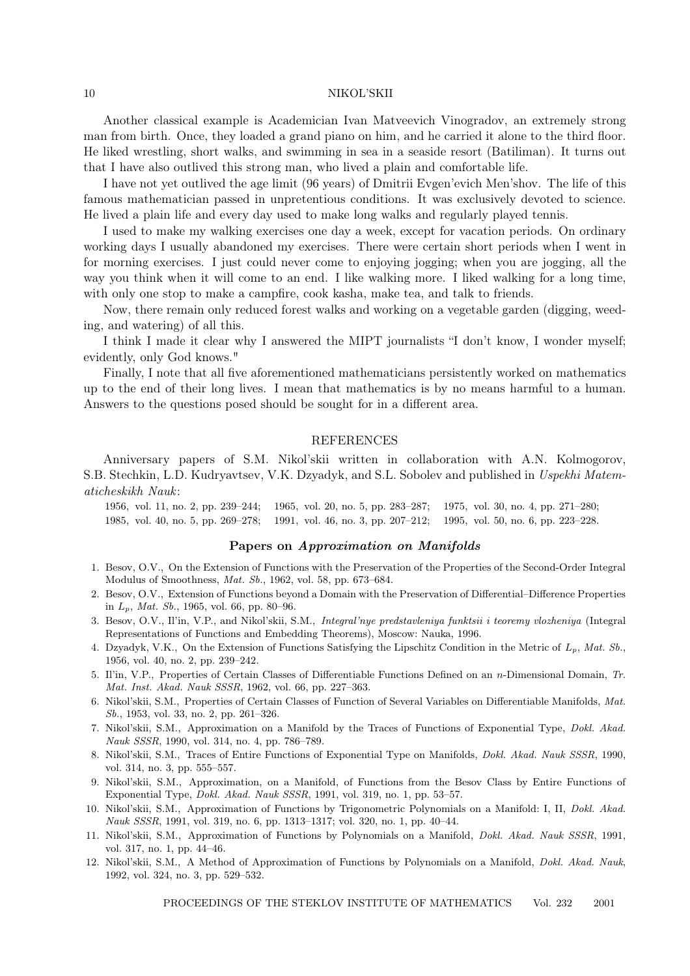Another classical example is Academician Ivan Matveevich Vinogradov, an extremely strong man from birth. Once, they loaded a grand piano on him, and he carried it alone to the third floor. He liked wrestling, short walks, and swimming in sea in a seaside resort (Batiliman). It turns out that I have also outlived this strong man, who lived a plain and comfortable life.

I have not yet outlived the age limit (96 years) of Dmitrii Evgen'evich Men'shov. The life of this famous mathematician passed in unpretentious conditions. It was exclusively devoted to science. He lived a plain life and every day used to make long walks and regularly played tennis.

I used to make my walking exercises one day a week, except for vacation periods. On ordinary working days I usually abandoned my exercises. There were certain short periods when I went in for morning exercises. I just could never come to enjoying jogging; when you are jogging, all the way you think when it will come to an end. I like walking more. I liked walking for a long time, with only one stop to make a campfire, cook kasha, make tea, and talk to friends.

Now, there remain only reduced forest walks and working on a vegetable garden (digging, weeding, and watering) of all this.

I think I made it clear why I answered the MIPT journalists "I don't know, I wonder myself; evidently, only God knows."

Finally, I note that all five aforementioned mathematicians persistently worked on mathematics up to the end of their long lives. I mean that mathematics is by no means harmful to a human. Answers to the questions posed should be sought for in a different area.

### REFERENCES

Anniversary papers of S.M. Nikol'skii written in collaboration with A.N. Kolmogorov, S.B. Stechkin, L.D. Kudryavtsev, V.K. Dzyadyk, and S.L. Sobolev and published in Uspekhi Matematicheskikh Nauk:

1956, vol. 11, no. 2, pp. 239–244; 1965, vol. 20, no. 5, pp. 283–287; 1975, vol. 30, no. 4, pp. 271–280; 1985, vol. 40, no. 5, pp. 269–278; 1991, vol. 46, no. 3, pp. 207–212; 1995, vol. 50, no. 6, pp. 223–228.

#### Papers on Approximation on Manifolds

- 1. Besov, O.V., On the Extension of Functions with the Preservation of the Properties of the Second-Order Integral Modulus of Smoothness, Mat. Sb., 1962, vol. 58, pp. 673–684.
- 2. Besov, O.V., Extension of Functions beyond a Domain with the Preservation of Differential–Difference Properties in  $L_p$ , *Mat. Sb.*, 1965, vol. 66, pp. 80–96.
- 3. Besov, O.V., Il'in, V.P., and Nikol'skii, S.M., *Integral'nye predstavleniya funktsii i teoremy vlozheniya* (Integral Representations of Functions and Embedding Theorems), Moscow: Nauka, 1996.
- 4. Dzyadyk, V.K., On the Extension of Functions Satisfying the Lipschitz Condition in the Metric of  $L_p$ , Mat. Sb., 1956, vol. 40, no. 2, pp. 239–242.
- 5. Il'in, V.P., Properties of Certain Classes of Differentiable Functions Defined on an n-Dimensional Domain, Tr. Mat. Inst. Akad. Nauk SSSR, 1962, vol. 66, pp. 227–363.
- 6. Nikol'skii, S.M., Properties of Certain Classes of Function of Several Variables on Differentiable Manifolds, Mat. Sb., 1953, vol. 33, no. 2, pp. 261–326.
- 7. Nikol'skii, S.M., Approximation on a Manifold by the Traces of Functions of Exponential Type, Dokl. Akad. Nauk SSSR, 1990, vol. 314, no. 4, pp. 786–789.
- 8. Nikol'skii, S.M., Traces of Entire Functions of Exponential Type on Manifolds, Dokl. Akad. Nauk SSSR, 1990, vol. 314, no. 3, pp. 555–557.
- 9. Nikol'skii, S.M., Approximation, on a Manifold, of Functions from the Besov Class by Entire Functions of Exponential Type, Dokl. Akad. Nauk SSSR, 1991, vol. 319, no. 1, pp. 53–57.
- 10. Nikol'skii, S.M., Approximation of Functions by Trigonometric Polynomials on a Manifold: I, II, Dokl. Akad. Nauk SSSR, 1991, vol. 319, no. 6, pp. 1313–1317; vol. 320, no. 1, pp. 40–44.
- 11. Nikol'skii, S.M., Approximation of Functions by Polynomials on a Manifold, Dokl. Akad. Nauk SSSR, 1991, vol. 317, no. 1, pp. 44–46.
- 12. Nikol'skii, S.M., A Method of Approximation of Functions by Polynomials on a Manifold, Dokl. Akad. Nauk, 1992, vol. 324, no. 3, pp. 529–532.